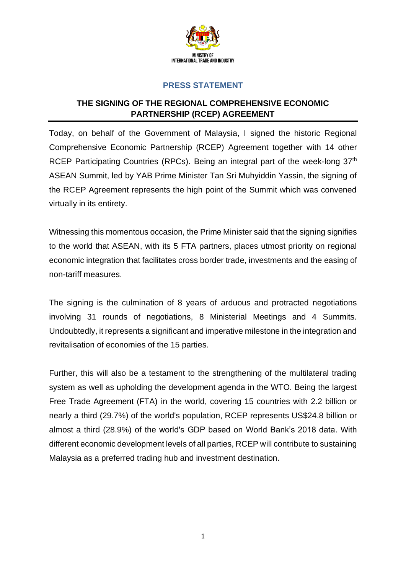

## **PRESS STATEMENT**

## **THE SIGNING OF THE REGIONAL COMPREHENSIVE ECONOMIC PARTNERSHIP (RCEP) AGREEMENT**

Today, on behalf of the Government of Malaysia, I signed the historic Regional Comprehensive Economic Partnership (RCEP) Agreement together with 14 other RCEP Participating Countries (RPCs). Being an integral part of the week-long 37<sup>th</sup> ASEAN Summit, led by YAB Prime Minister Tan Sri Muhyiddin Yassin, the signing of the RCEP Agreement represents the high point of the Summit which was convened virtually in its entirety.

Witnessing this momentous occasion, the Prime Minister said that the signing signifies to the world that ASEAN, with its 5 FTA partners, places utmost priority on regional economic integration that facilitates cross border trade, investments and the easing of non-tariff measures.

The signing is the culmination of 8 years of arduous and protracted negotiations involving 31 rounds of negotiations, 8 Ministerial Meetings and 4 Summits. Undoubtedly, it represents a significant and imperative milestone in the integration and revitalisation of economies of the 15 parties.

Further, this will also be a testament to the strengthening of the multilateral trading system as well as upholding the development agenda in the WTO. Being the largest Free Trade Agreement (FTA) in the world, covering 15 countries with 2.2 billion or nearly a third (29.7%) of the world's population, RCEP represents US\$24.8 billion or almost a third (28.9%) of the world's GDP based on World Bank's 2018 data. With different economic development levels of all parties, RCEP will contribute to sustaining Malaysia as a preferred trading hub and investment destination.